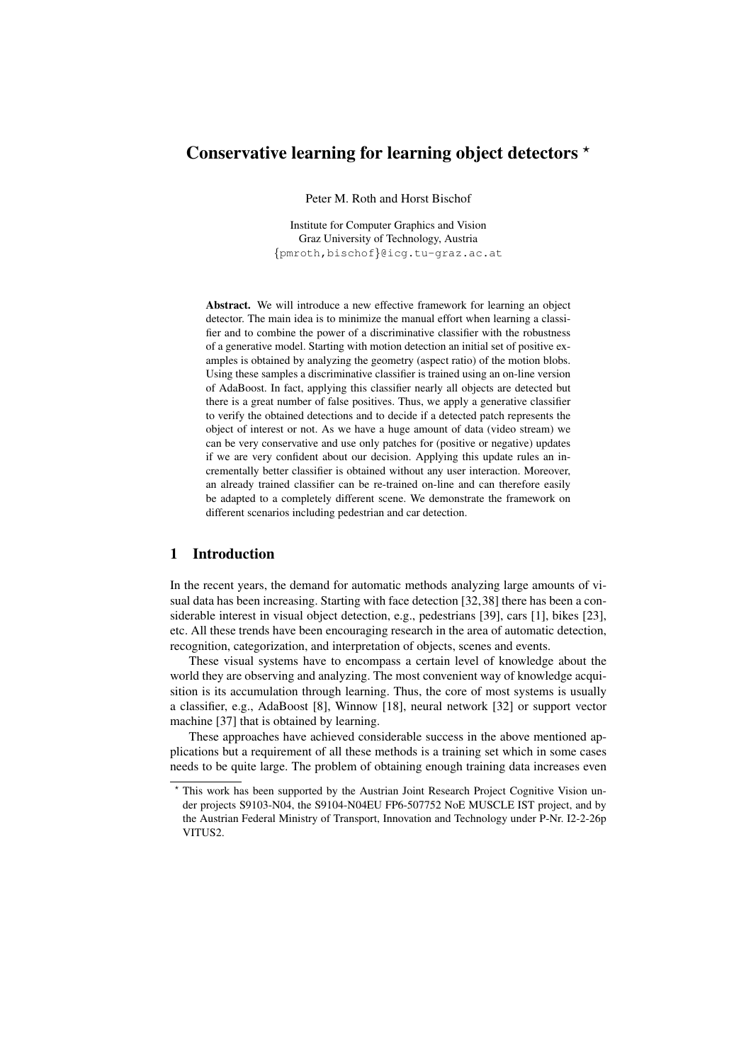# Conservative learning for learning object detectors  $\star$

Peter M. Roth and Horst Bischof

Institute for Computer Graphics and Vision Graz University of Technology, Austria {pmroth,bischof}@icg.tu-graz.ac.at

Abstract. We will introduce a new effective framework for learning an object detector. The main idea is to minimize the manual effort when learning a classifier and to combine the power of a discriminative classifier with the robustness of a generative model. Starting with motion detection an initial set of positive examples is obtained by analyzing the geometry (aspect ratio) of the motion blobs. Using these samples a discriminative classifier is trained using an on-line version of AdaBoost. In fact, applying this classifier nearly all objects are detected but there is a great number of false positives. Thus, we apply a generative classifier to verify the obtained detections and to decide if a detected patch represents the object of interest or not. As we have a huge amount of data (video stream) we can be very conservative and use only patches for (positive or negative) updates if we are very confident about our decision. Applying this update rules an incrementally better classifier is obtained without any user interaction. Moreover, an already trained classifier can be re-trained on-line and can therefore easily be adapted to a completely different scene. We demonstrate the framework on different scenarios including pedestrian and car detection.

# 1 Introduction

In the recent years, the demand for automatic methods analyzing large amounts of visual data has been increasing. Starting with face detection [32,38] there has been a considerable interest in visual object detection, e.g., pedestrians [39], cars [1], bikes [23], etc. All these trends have been encouraging research in the area of automatic detection, recognition, categorization, and interpretation of objects, scenes and events.

These visual systems have to encompass a certain level of knowledge about the world they are observing and analyzing. The most convenient way of knowledge acquisition is its accumulation through learning. Thus, the core of most systems is usually a classifier, e.g., AdaBoost [8], Winnow [18], neural network [32] or support vector machine [37] that is obtained by learning.

These approaches have achieved considerable success in the above mentioned applications but a requirement of all these methods is a training set which in some cases needs to be quite large. The problem of obtaining enough training data increases even

<sup>?</sup> This work has been supported by the Austrian Joint Research Project Cognitive Vision under projects S9103-N04, the S9104-N04EU FP6-507752 NoE MUSCLE IST project, and by the Austrian Federal Ministry of Transport, Innovation and Technology under P-Nr. I2-2-26p VITUS2.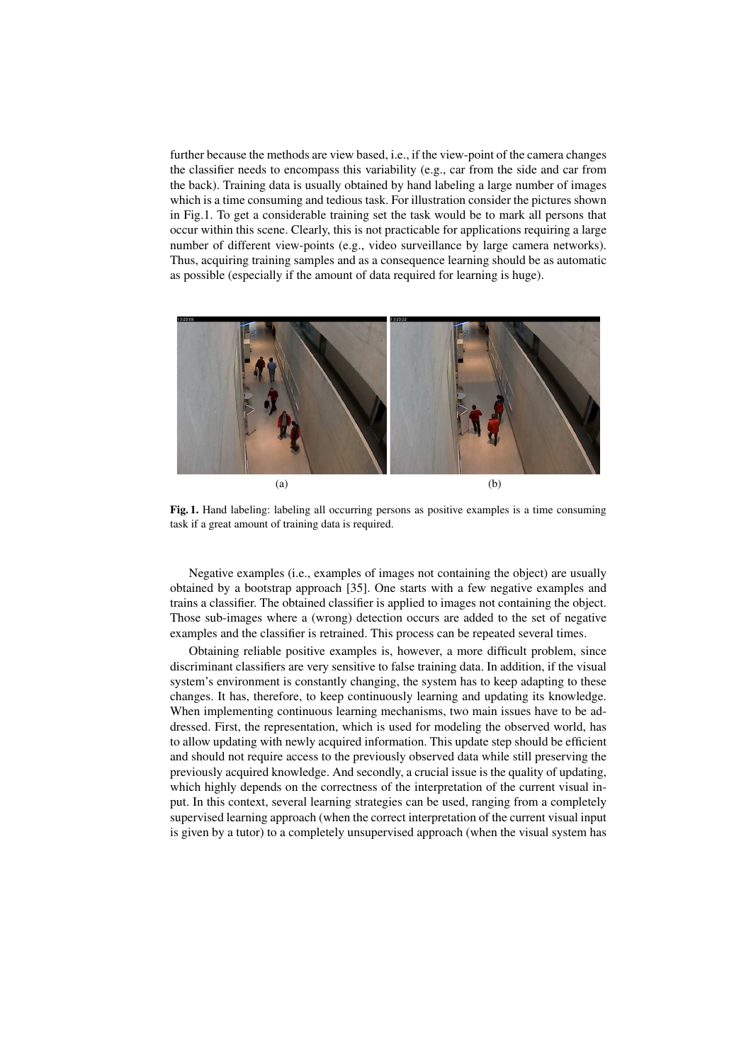further because the methods are view based, i.e., if the view-point of the camera changes the classifier needs to encompass this variability (e.g., car from the side and car from the back). Training data is usually obtained by hand labeling a large number of images which is a time consuming and tedious task. For illustration consider the pictures shown in Fig.1. To get a considerable training set the task would be to mark all persons that occur within this scene. Clearly, this is not practicable for applications requiring a large number of different view-points (e.g., video surveillance by large camera networks). Thus, acquiring training samples and as a consequence learning should be as automatic as possible (especially if the amount of data required for learning is huge).



Fig. 1. Hand labeling: labeling all occurring persons as positive examples is a time consuming task if a great amount of training data is required.

Negative examples (i.e., examples of images not containing the object) are usually obtained by a bootstrap approach [35]. One starts with a few negative examples and trains a classifier. The obtained classifier is applied to images not containing the object. Those sub-images where a (wrong) detection occurs are added to the set of negative examples and the classifier is retrained. This process can be repeated several times.

Obtaining reliable positive examples is, however, a more difficult problem, since discriminant classifiers are very sensitive to false training data. In addition, if the visual system's environment is constantly changing, the system has to keep adapting to these changes. It has, therefore, to keep continuously learning and updating its knowledge. When implementing continuous learning mechanisms, two main issues have to be addressed. First, the representation, which is used for modeling the observed world, has to allow updating with newly acquired information. This update step should be efficient and should not require access to the previously observed data while still preserving the previously acquired knowledge. And secondly, a crucial issue is the quality of updating, which highly depends on the correctness of the interpretation of the current visual input. In this context, several learning strategies can be used, ranging from a completely supervised learning approach (when the correct interpretation of the current visual input is given by a tutor) to a completely unsupervised approach (when the visual system has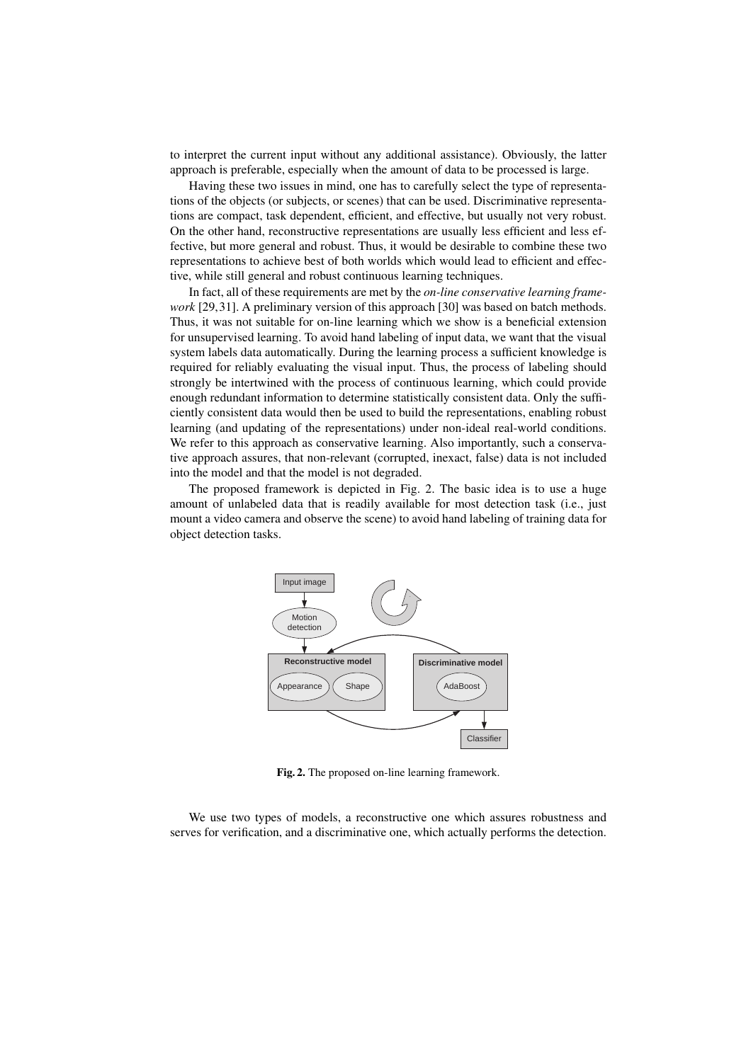to interpret the current input without any additional assistance). Obviously, the latter approach is preferable, especially when the amount of data to be processed is large.

Having these two issues in mind, one has to carefully select the type of representations of the objects (or subjects, or scenes) that can be used. Discriminative representations are compact, task dependent, efficient, and effective, but usually not very robust. On the other hand, reconstructive representations are usually less efficient and less effective, but more general and robust. Thus, it would be desirable to combine these two representations to achieve best of both worlds which would lead to efficient and effective, while still general and robust continuous learning techniques.

In fact, all of these requirements are met by the *on-line conservative learning framework* [29,31]. A preliminary version of this approach [30] was based on batch methods. Thus, it was not suitable for on-line learning which we show is a beneficial extension for unsupervised learning. To avoid hand labeling of input data, we want that the visual system labels data automatically. During the learning process a sufficient knowledge is required for reliably evaluating the visual input. Thus, the process of labeling should strongly be intertwined with the process of continuous learning, which could provide enough redundant information to determine statistically consistent data. Only the sufficiently consistent data would then be used to build the representations, enabling robust learning (and updating of the representations) under non-ideal real-world conditions. We refer to this approach as conservative learning. Also importantly, such a conservative approach assures, that non-relevant (corrupted, inexact, false) data is not included into the model and that the model is not degraded.

The proposed framework is depicted in Fig. 2. The basic idea is to use a huge amount of unlabeled data that is readily available for most detection task (i.e., just mount a video camera and observe the scene) to avoid hand labeling of training data for object detection tasks.



Fig. 2. The proposed on-line learning framework.

We use two types of models, a reconstructive one which assures robustness and serves for verification, and a discriminative one, which actually performs the detection.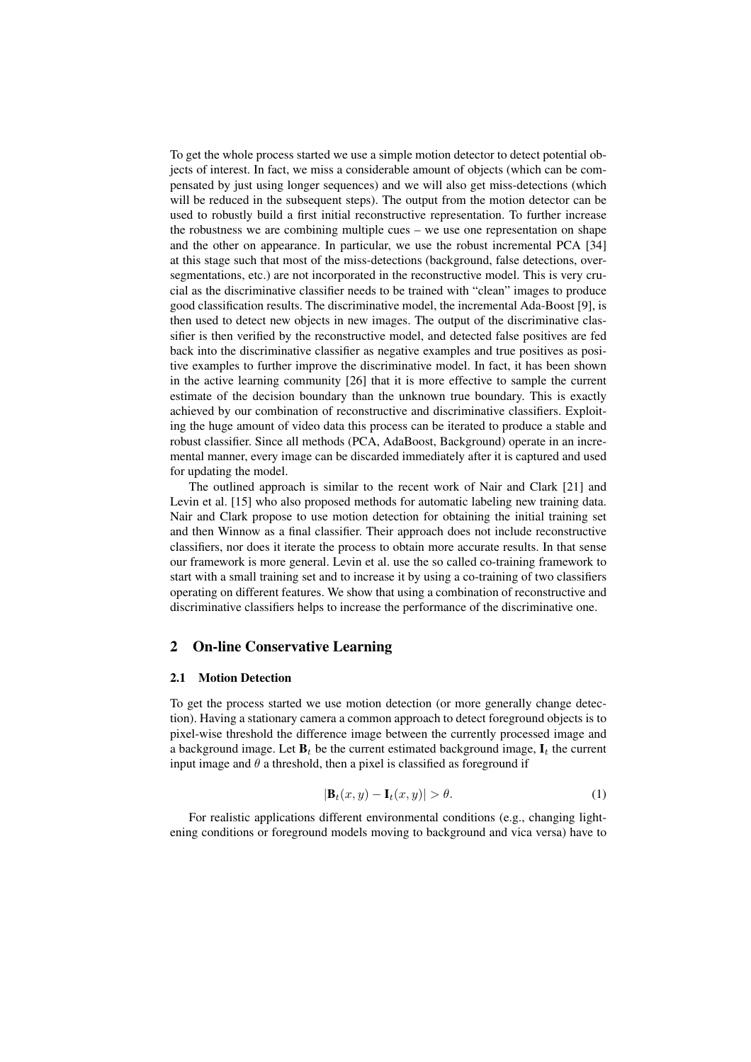To get the whole process started we use a simple motion detector to detect potential objects of interest. In fact, we miss a considerable amount of objects (which can be compensated by just using longer sequences) and we will also get miss-detections (which will be reduced in the subsequent steps). The output from the motion detector can be used to robustly build a first initial reconstructive representation. To further increase the robustness we are combining multiple cues – we use one representation on shape and the other on appearance. In particular, we use the robust incremental PCA [34] at this stage such that most of the miss-detections (background, false detections, oversegmentations, etc.) are not incorporated in the reconstructive model. This is very crucial as the discriminative classifier needs to be trained with "clean" images to produce good classification results. The discriminative model, the incremental Ada-Boost [9], is then used to detect new objects in new images. The output of the discriminative classifier is then verified by the reconstructive model, and detected false positives are fed back into the discriminative classifier as negative examples and true positives as positive examples to further improve the discriminative model. In fact, it has been shown in the active learning community [26] that it is more effective to sample the current estimate of the decision boundary than the unknown true boundary. This is exactly achieved by our combination of reconstructive and discriminative classifiers. Exploiting the huge amount of video data this process can be iterated to produce a stable and robust classifier. Since all methods (PCA, AdaBoost, Background) operate in an incremental manner, every image can be discarded immediately after it is captured and used for updating the model.

The outlined approach is similar to the recent work of Nair and Clark [21] and Levin et al. [15] who also proposed methods for automatic labeling new training data. Nair and Clark propose to use motion detection for obtaining the initial training set and then Winnow as a final classifier. Their approach does not include reconstructive classifiers, nor does it iterate the process to obtain more accurate results. In that sense our framework is more general. Levin et al. use the so called co-training framework to start with a small training set and to increase it by using a co-training of two classifiers operating on different features. We show that using a combination of reconstructive and discriminative classifiers helps to increase the performance of the discriminative one.

### 2 On-line Conservative Learning

### 2.1 Motion Detection

To get the process started we use motion detection (or more generally change detection). Having a stationary camera a common approach to detect foreground objects is to pixel-wise threshold the difference image between the currently processed image and a background image. Let  $\mathbf{B}_t$  be the current estimated background image,  $\mathbf{I}_t$  the current input image and  $\theta$  a threshold, then a pixel is classified as foreground if

$$
|\mathbf{B}_t(x,y) - \mathbf{I}_t(x,y)| > \theta. \tag{1}
$$

For realistic applications different environmental conditions (e.g., changing lightening conditions or foreground models moving to background and vica versa) have to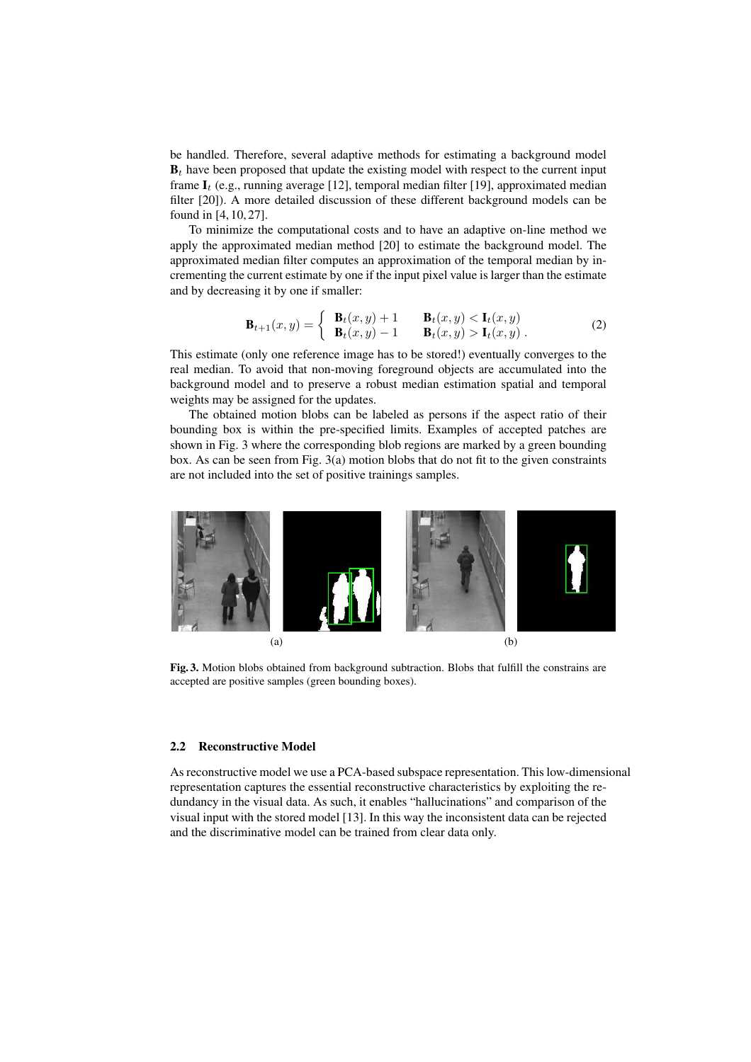be handled. Therefore, several adaptive methods for estimating a background model  **have been proposed that update the existing model with respect to the current input** frame  $I_t$  (e.g., running average [12], temporal median filter [19], approximated median filter [20]). A more detailed discussion of these different background models can be found in [4, 10, 27].

To minimize the computational costs and to have an adaptive on-line method we apply the approximated median method [20] to estimate the background model. The approximated median filter computes an approximation of the temporal median by incrementing the current estimate by one if the input pixel value is larger than the estimate and by decreasing it by one if smaller:

$$
\mathbf{B}_{t+1}(x,y) = \begin{cases} \mathbf{B}_t(x,y) + 1 & \mathbf{B}_t(x,y) < \mathbf{I}_t(x,y) \\ \mathbf{B}_t(x,y) - 1 & \mathbf{B}_t(x,y) > \mathbf{I}_t(x,y) \end{cases} \tag{2}
$$

This estimate (only one reference image has to be stored!) eventually converges to the real median. To avoid that non-moving foreground objects are accumulated into the background model and to preserve a robust median estimation spatial and temporal weights may be assigned for the updates.

The obtained motion blobs can be labeled as persons if the aspect ratio of their bounding box is within the pre-specified limits. Examples of accepted patches are shown in Fig. 3 where the corresponding blob regions are marked by a green bounding box. As can be seen from Fig. 3(a) motion blobs that do not fit to the given constraints are not included into the set of positive trainings samples.



Fig. 3. Motion blobs obtained from background subtraction. Blobs that fulfill the constrains are accepted are positive samples (green bounding boxes).

### 2.2 Reconstructive Model

As reconstructive model we use a PCA-based subspace representation. This low-dimensional representation captures the essential reconstructive characteristics by exploiting the redundancy in the visual data. As such, it enables "hallucinations" and comparison of the visual input with the stored model [13]. In this way the inconsistent data can be rejected and the discriminative model can be trained from clear data only.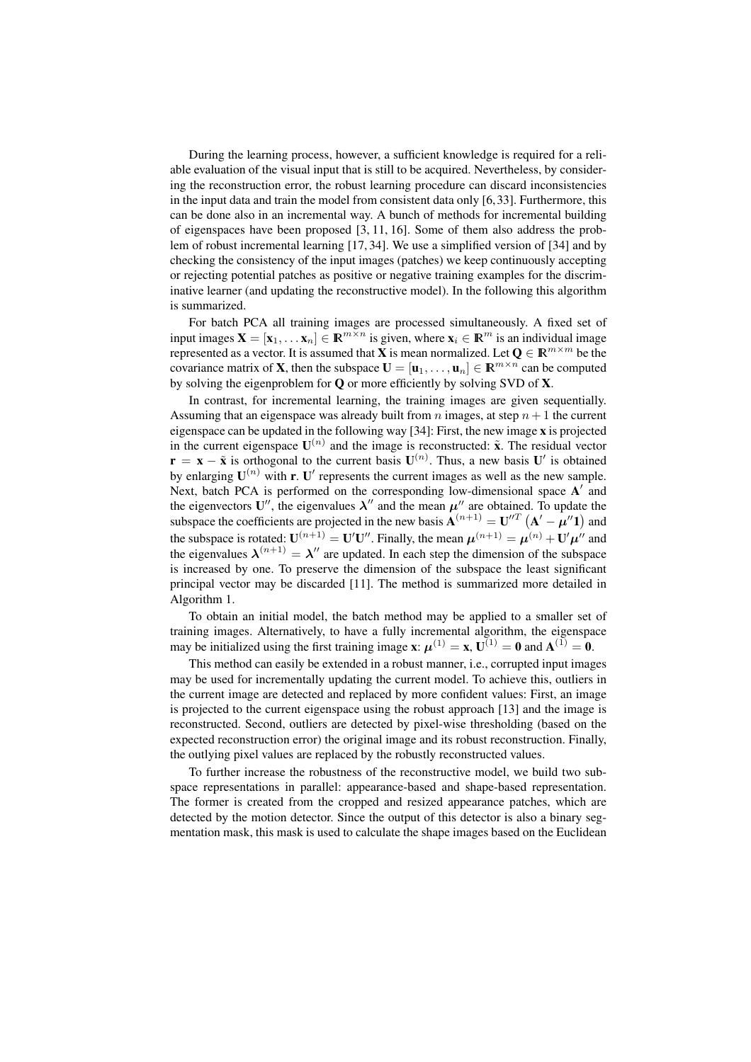During the learning process, however, a sufficient knowledge is required for a reliable evaluation of the visual input that is still to be acquired. Nevertheless, by considering the reconstruction error, the robust learning procedure can discard inconsistencies in the input data and train the model from consistent data only [6,33]. Furthermore, this can be done also in an incremental way. A bunch of methods for incremental building of eigenspaces have been proposed [3, 11, 16]. Some of them also address the problem of robust incremental learning [17, 34]. We use a simplified version of [34] and by checking the consistency of the input images (patches) we keep continuously accepting or rejecting potential patches as positive or negative training examples for the discriminative learner (and updating the reconstructive model). In the following this algorithm is summarized.

For batch PCA all training images are processed simultaneously. A fixed set of input images  $\mathbf{X} = [\mathbf{x}_1, \dots \mathbf{x}_n] \in \mathbb{R}^{m \times n}$  is given, where  $\mathbf{x}_i \in \mathbb{R}^m$  is an individual image represented as a vector. It is assumed that  $\bar{\mathbf{X}}$  is mean normalized. Let  $\mathbf{Q} \in \mathbb{R}^{m \times m}$  be the covariance matrix of **X**, then the subspace  $\mathbf{U} = [\mathbf{u}_1, \dots, \mathbf{u}_n] \in \mathbb{R}^{m \times n}$  can be computed by solving the eigenproblem for  $Q$  or more efficiently by solving SVD of  $X$ .

In contrast, for incremental learning, the training images are given sequentially. Assuming that an eigenspace was already built from n images, at step  $n + 1$  the current eigenspace can be updated in the following way [34]: First, the new image x is projected in the current eigenspace  $\mathbf{U}^{(n)}$  and the image is reconstructed:  $\tilde{\mathbf{x}}$ . The residual vector  $\mathbf{r} = \mathbf{x} - \tilde{\mathbf{x}}$  is orthogonal to the current basis  $\mathbf{U}^{(n)}$ . Thus, a new basis  $\mathbf{U}'$  is obtained by enlarging  $\mathbf{U}^{(n)}$  with **r**. U' represents the current images as well as the new sample. Next, batch PCA is performed on the corresponding low-dimensional space  $A'$  and the eigenvectors U'', the eigenvalues  $\lambda''$  and the mean  $\mu''$  are obtained. To update the subspace the coefficients are projected in the new basis  $\mathbf{A}^{(n+1)} = \mathbf{U}^{nT} (\mathbf{A}' - \boldsymbol{\mu}^n \mathbf{1})$  and the subspace is rotated:  $\mathbf{U}^{(n+1)} = \mathbf{U}'\mathbf{U}''$ . Finally, the mean  $\boldsymbol{\mu}^{(n+1)} = \boldsymbol{\mu}^{(n)} + \mathbf{U}'\boldsymbol{\mu}''$  and the eigenvalues  $\lambda^{(n+1)} = \lambda''$  are updated. In each step the dimension of the subspace is increased by one. To preserve the dimension of the subspace the least significant principal vector may be discarded [11]. The method is summarized more detailed in Algorithm 1.

To obtain an initial model, the batch method may be applied to a smaller set of training images. Alternatively, to have a fully incremental algorithm, the eigenspace may be initialized using the first training image **x**:  $\mu^{(1)} = \mathbf{x}, \mathbf{U}^{(1)} = \mathbf{0}$  and  $\mathbf{A}^{(1)} = \mathbf{0}$ .

This method can easily be extended in a robust manner, i.e., corrupted input images may be used for incrementally updating the current model. To achieve this, outliers in the current image are detected and replaced by more confident values: First, an image is projected to the current eigenspace using the robust approach [13] and the image is reconstructed. Second, outliers are detected by pixel-wise thresholding (based on the expected reconstruction error) the original image and its robust reconstruction. Finally, the outlying pixel values are replaced by the robustly reconstructed values.

To further increase the robustness of the reconstructive model, we build two subspace representations in parallel: appearance-based and shape-based representation. The former is created from the cropped and resized appearance patches, which are detected by the motion detector. Since the output of this detector is also a binary segmentation mask, this mask is used to calculate the shape images based on the Euclidean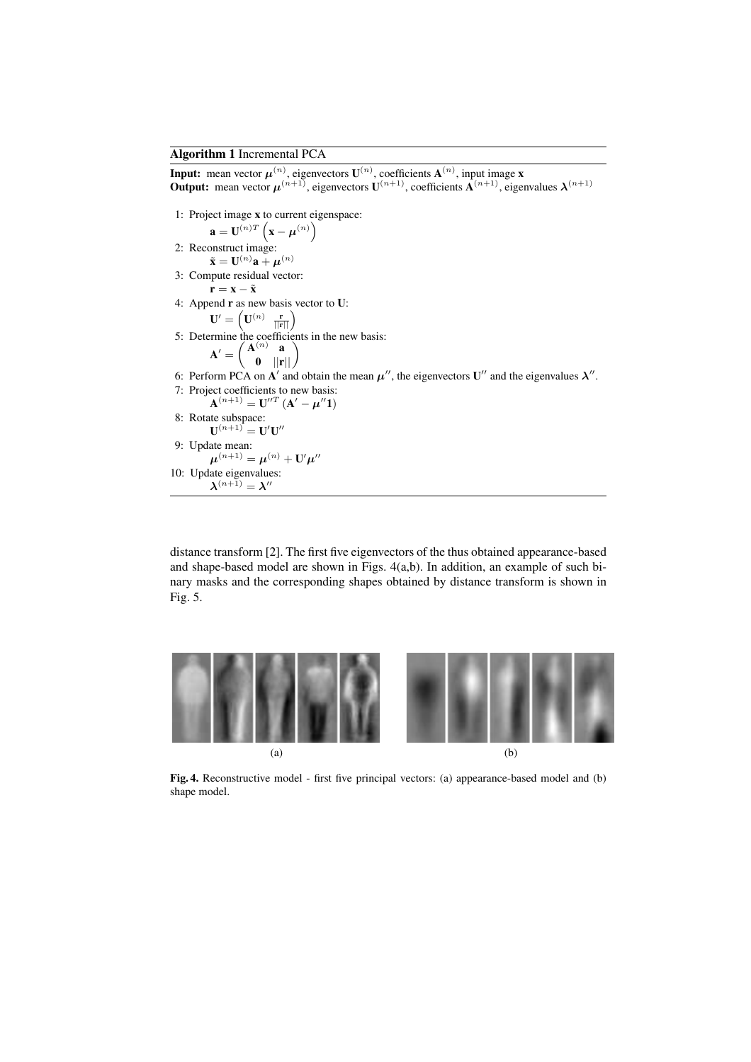### Algorithm 1 Incremental PCA

**Input:** mean vector  $\mu^{(n)}$ , eigenvectors  $\mathbf{U}^{(n)}$ , coefficients  $\mathbf{A}^{(n)}$ , input image **x Output:** mean vector  $\mu^{(n+1)}$ , eigenvectors  $\mathbf{U}^{(n+1)}$ , coefficients  $\mathbf{A}^{(n+1)}$ , eigenvalues  $\lambda^{(n+1)}$ 

1: Project image  $\bf{x}$  to current eigenspace:

 $\mathbf{a} = \mathbf{U}^{(n)T} \left( \mathbf{x} - \boldsymbol{\mu}^{(n)} \right)$ 2: Reconstruct image:  $\tilde{\mathbf{x}} = \mathbf{U}^{(n)} \mathbf{a} + \boldsymbol{\mu}^{(n)}$ 3: Compute residual vector:  $\mathbf{r} = \mathbf{x} - \tilde{\mathbf{x}}$ 4: Append  $\mathbf r$  as new basis vector to  $\mathbf U$ : end **r** as new basis  $\mathbf{U}' = \begin{pmatrix} \mathbf{U}^{(n)} & \frac{\mathbf{r}}{||\mathbf{r}||} \end{pmatrix}$ 5: Determine the coefficients in the new basis: Figure the coefficien<br>  $A' = \begin{pmatrix} A^{(n)} & a \\ 0 & ||r|| \end{pmatrix}$ 6: Perform PCA on A' and obtain the mean  $\mu''$ , the eigenvectors U'' and the eigenvalues  $\lambda''$ . 7: Project coefficients to new basis:  ${\bf A}^{(n+1)} = {\bf U}''^T \, ({\bf A}' - {\boldsymbol \mu}'' {\bf 1})$ 8: Rotate subspace:  $\mathbf{U}^{(n+1)} = \mathbf{U}'\mathbf{U}''$ 9: Update mean:  $\boldsymbol{\mu}^{(n+1)} = \boldsymbol{\mu}^{(n)} + \mathbf{U}'\boldsymbol{\mu}''$ 10: Update eigenvalues:  $\boldsymbol{\lambda}^{(n+1)}=\boldsymbol{\lambda}''$ 

distance transform [2]. The first five eigenvectors of the thus obtained appearance-based and shape-based model are shown in Figs. 4(a,b). In addition, an example of such binary masks and the corresponding shapes obtained by distance transform is shown in Fig. 5.



Fig. 4. Reconstructive model - first five principal vectors: (a) appearance-based model and (b) shape model.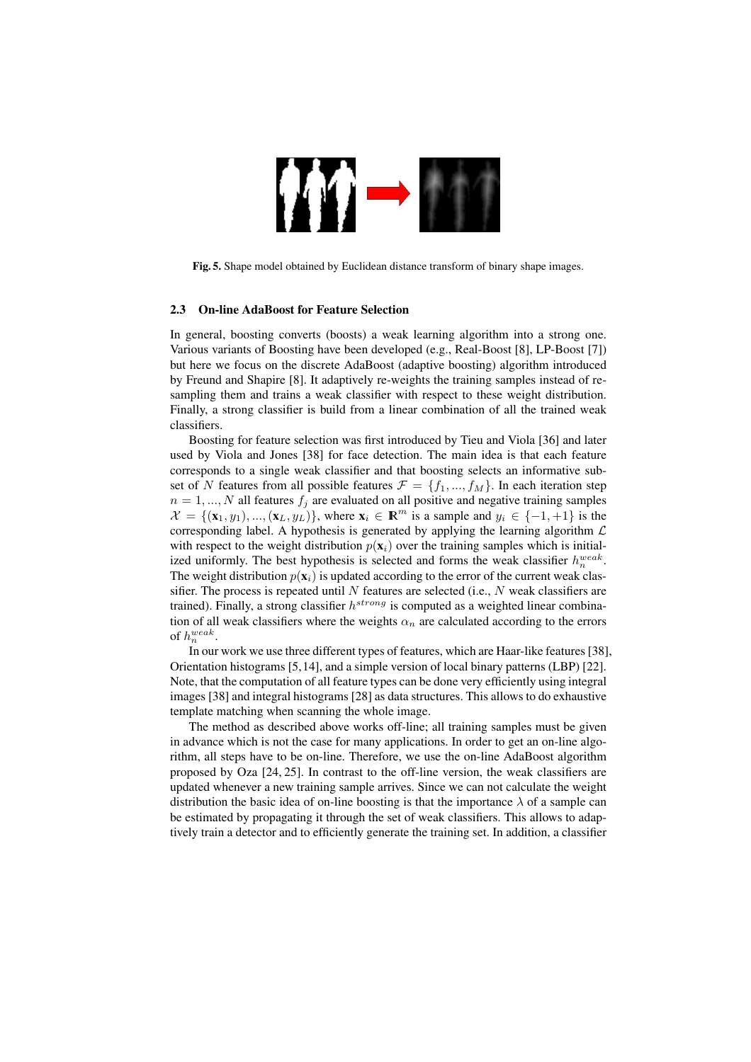

Fig. 5. Shape model obtained by Euclidean distance transform of binary shape images.

### 2.3 On-line AdaBoost for Feature Selection

In general, boosting converts (boosts) a weak learning algorithm into a strong one. Various variants of Boosting have been developed (e.g., Real-Boost [8], LP-Boost [7]) but here we focus on the discrete AdaBoost (adaptive boosting) algorithm introduced by Freund and Shapire [8]. It adaptively re-weights the training samples instead of resampling them and trains a weak classifier with respect to these weight distribution. Finally, a strong classifier is build from a linear combination of all the trained weak classifiers.

Boosting for feature selection was first introduced by Tieu and Viola [36] and later used by Viola and Jones [38] for face detection. The main idea is that each feature corresponds to a single weak classifier and that boosting selects an informative subset of N features from all possible features  $\mathcal{F} = \{f_1, ..., f_M\}$ . In each iteration step  $n = 1, ..., N$  all features  $f_i$  are evaluated on all positive and negative training samples  $\mathcal{X} = \{(\mathbf{x}_1, y_1), ..., (\mathbf{x}_L, y_L)\}\$ , where  $\mathbf{x}_i \in \mathbb{R}^m$  is a sample and  $y_i \in \{-1, +1\}$  is the corresponding label. A hypothesis is generated by applying the learning algorithm  $\mathcal L$ with respect to the weight distribution  $p(\mathbf{x}_i)$  over the training samples which is initialized uniformly. The best hypothesis is selected and forms the weak classifier  $h_n^{weak}$ . The weight distribution  $p(\mathbf{x}_i)$  is updated according to the error of the current weak classifier. The process is repeated until  $N$  features are selected (i.e.,  $N$  weak classifiers are trained). Finally, a strong classifier  $h^{strong}$  is computed as a weighted linear combination of all weak classifiers where the weights  $\alpha_n$  are calculated according to the errors of  $h_n^{weak}$ .

In our work we use three different types of features, which are Haar-like features [38], Orientation histograms [5,14], and a simple version of local binary patterns (LBP) [22]. Note, that the computation of all feature types can be done very efficiently using integral images [38] and integral histograms [28] as data structures. This allows to do exhaustive template matching when scanning the whole image.

The method as described above works off-line; all training samples must be given in advance which is not the case for many applications. In order to get an on-line algorithm, all steps have to be on-line. Therefore, we use the on-line AdaBoost algorithm proposed by Oza [24, 25]. In contrast to the off-line version, the weak classifiers are updated whenever a new training sample arrives. Since we can not calculate the weight distribution the basic idea of on-line boosting is that the importance  $\lambda$  of a sample can be estimated by propagating it through the set of weak classifiers. This allows to adaptively train a detector and to efficiently generate the training set. In addition, a classifier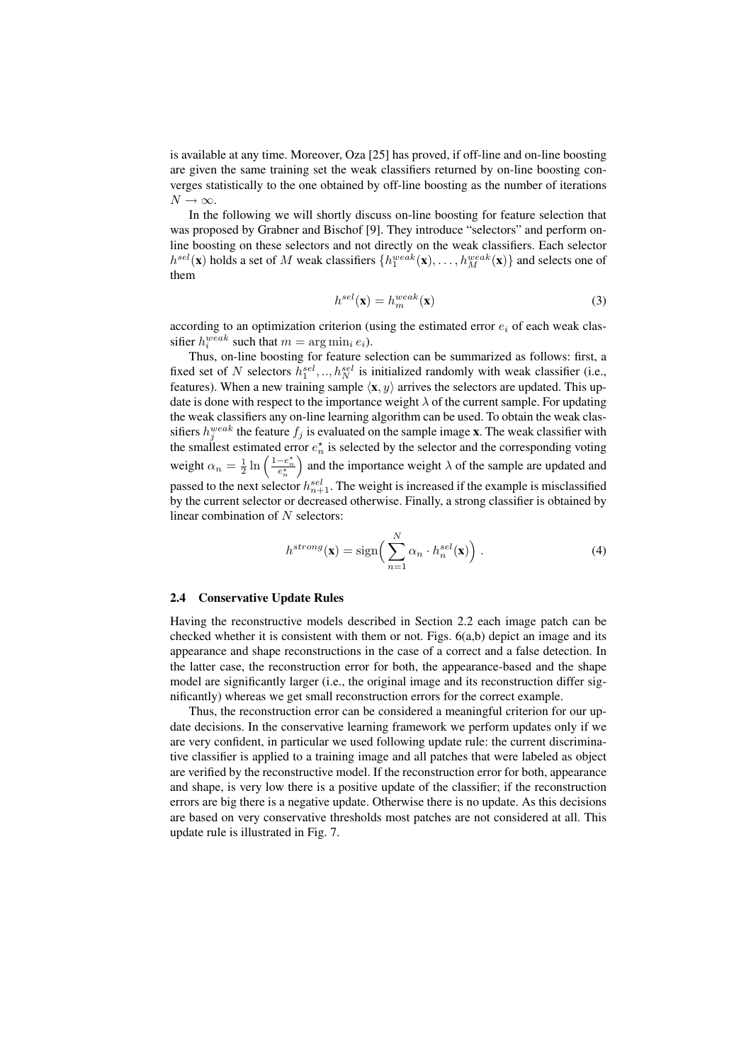is available at any time. Moreover, Oza [25] has proved, if off-line and on-line boosting are given the same training set the weak classifiers returned by on-line boosting converges statistically to the one obtained by off-line boosting as the number of iterations  $N \rightarrow \infty$ .

In the following we will shortly discuss on-line boosting for feature selection that was proposed by Grabner and Bischof [9]. They introduce "selectors" and perform online boosting on these selectors and not directly on the weak classifiers. Each selector  $h^{sel}(\mathbf{x})$  holds a set of M weak classifiers  $\{h_1^{weak}(\mathbf{x}), \ldots, h_M^{weak}(\mathbf{x})\}$  and selects one of them

$$
h^{sel}(\mathbf{x}) = h_m^{weak}(\mathbf{x})
$$
\n(3)

according to an optimization criterion (using the estimated error  $e_i$  of each weak classifier  $h_i^{weak}$  such that  $m = \arg \min_i e_i$ ).

Thus, on-line boosting for feature selection can be summarized as follows: first, a fixed set of N selectors  $h_1^{sel},..., h_N^{sel}$  is initialized randomly with weak classifier (i.e., features). When a new training sample  $\langle \mathbf{x}, y \rangle$  arrives the selectors are updated. This update is done with respect to the importance weight  $\lambda$  of the current sample. For updating the weak classifiers any on-line learning algorithm can be used. To obtain the weak classifiers  $h_j^{weak}$  the feature  $f_j$  is evaluated on the sample image **x**. The weak classifier with the smallest estimated error  $e_n^*$  is selected by the selector and the corresponding voting the smallest estimated error  $e_n^*$  is selected by the selector and the corresponding voting<br>weight  $\alpha_n = \frac{1}{2} \ln \left( \frac{1 - e_n^*}{e_n^*} \right)$  and the importance weight  $\lambda$  of the sample are updated and passed to the next selector  $h_{n+1}^{sel}$ . The weight is increased if the example is misclassified by the current selector or decreased otherwise. Finally, a strong classifier is obtained by linear combination of N selectors:

$$
h^{strong}(\mathbf{x}) = \text{sign}\left(\sum_{n=1}^{N} \alpha_n \cdot h_n^{sel}(\mathbf{x})\right). \tag{4}
$$

#### 2.4 Conservative Update Rules

Having the reconstructive models described in Section 2.2 each image patch can be checked whether it is consistent with them or not. Figs.  $6(a,b)$  depict an image and its appearance and shape reconstructions in the case of a correct and a false detection. In the latter case, the reconstruction error for both, the appearance-based and the shape model are significantly larger (i.e., the original image and its reconstruction differ significantly) whereas we get small reconstruction errors for the correct example.

Thus, the reconstruction error can be considered a meaningful criterion for our update decisions. In the conservative learning framework we perform updates only if we are very confident, in particular we used following update rule: the current discriminative classifier is applied to a training image and all patches that were labeled as object are verified by the reconstructive model. If the reconstruction error for both, appearance and shape, is very low there is a positive update of the classifier; if the reconstruction errors are big there is a negative update. Otherwise there is no update. As this decisions are based on very conservative thresholds most patches are not considered at all. This update rule is illustrated in Fig. 7.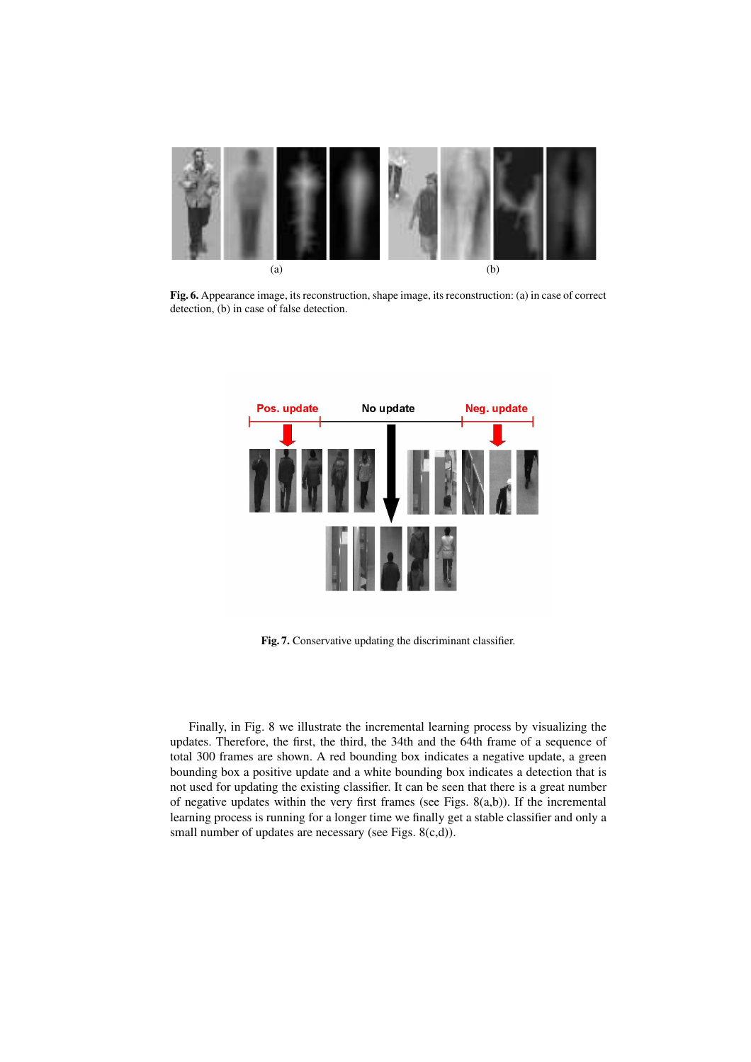

Fig. 6. Appearance image, its reconstruction, shape image, its reconstruction: (a) in case of correct detection, (b) in case of false detection.



Fig. 7. Conservative updating the discriminant classifier.

Finally, in Fig. 8 we illustrate the incremental learning process by visualizing the updates. Therefore, the first, the third, the 34th and the 64th frame of a sequence of total 300 frames are shown. A red bounding box indicates a negative update, a green bounding box a positive update and a white bounding box indicates a detection that is not used for updating the existing classifier. It can be seen that there is a great number of negative updates within the very first frames (see Figs. 8(a,b)). If the incremental learning process is running for a longer time we finally get a stable classifier and only a small number of updates are necessary (see Figs. 8(c,d)).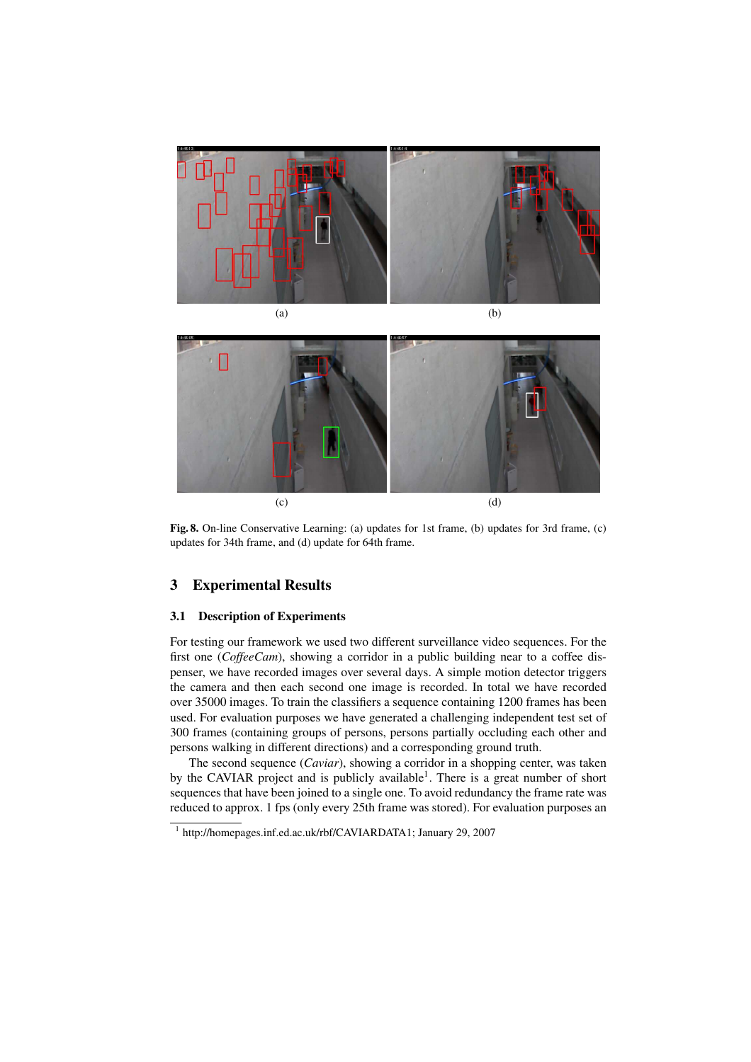



Fig. 8. On-line Conservative Learning: (a) updates for 1st frame, (b) updates for 3rd frame, (c) updates for 34th frame, and (d) update for 64th frame.

# 3 Experimental Results

## 3.1 Description of Experiments

For testing our framework we used two different surveillance video sequences. For the first one (*CoffeeCam*), showing a corridor in a public building near to a coffee dispenser, we have recorded images over several days. A simple motion detector triggers the camera and then each second one image is recorded. In total we have recorded over 35000 images. To train the classifiers a sequence containing 1200 frames has been used. For evaluation purposes we have generated a challenging independent test set of 300 frames (containing groups of persons, persons partially occluding each other and persons walking in different directions) and a corresponding ground truth.

The second sequence (*Caviar*), showing a corridor in a shopping center, was taken by the CAVIAR project and is publicly available<sup>1</sup>. There is a great number of short sequences that have been joined to a single one. To avoid redundancy the frame rate was reduced to approx. 1 fps (only every 25th frame was stored). For evaluation purposes an

<sup>1</sup> http://homepages.inf.ed.ac.uk/rbf/CAVIARDATA1; January 29, 2007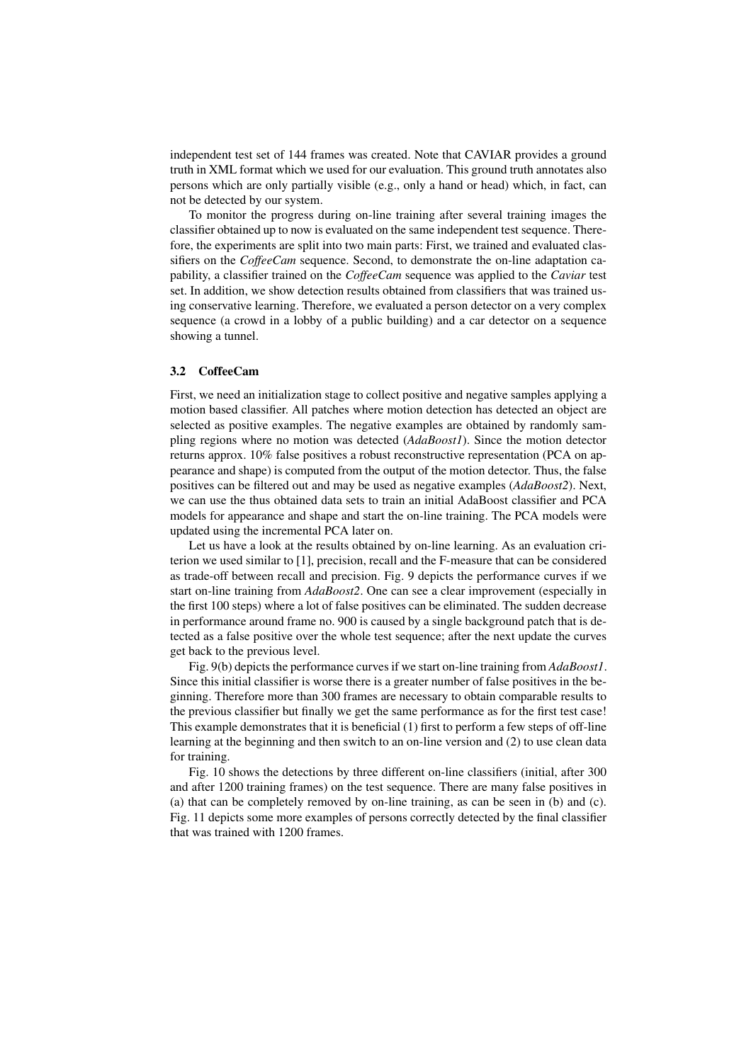independent test set of 144 frames was created. Note that CAVIAR provides a ground truth in XML format which we used for our evaluation. This ground truth annotates also persons which are only partially visible (e.g., only a hand or head) which, in fact, can not be detected by our system.

To monitor the progress during on-line training after several training images the classifier obtained up to now is evaluated on the same independent test sequence. Therefore, the experiments are split into two main parts: First, we trained and evaluated classifiers on the *CoffeeCam* sequence. Second, to demonstrate the on-line adaptation capability, a classifier trained on the *CoffeeCam* sequence was applied to the *Caviar* test set. In addition, we show detection results obtained from classifiers that was trained using conservative learning. Therefore, we evaluated a person detector on a very complex sequence (a crowd in a lobby of a public building) and a car detector on a sequence showing a tunnel.

### 3.2 CoffeeCam

First, we need an initialization stage to collect positive and negative samples applying a motion based classifier. All patches where motion detection has detected an object are selected as positive examples. The negative examples are obtained by randomly sampling regions where no motion was detected (*AdaBoost1*). Since the motion detector returns approx. 10% false positives a robust reconstructive representation (PCA on appearance and shape) is computed from the output of the motion detector. Thus, the false positives can be filtered out and may be used as negative examples (*AdaBoost2*). Next, we can use the thus obtained data sets to train an initial AdaBoost classifier and PCA models for appearance and shape and start the on-line training. The PCA models were updated using the incremental PCA later on.

Let us have a look at the results obtained by on-line learning. As an evaluation criterion we used similar to [1], precision, recall and the F-measure that can be considered as trade-off between recall and precision. Fig. 9 depicts the performance curves if we start on-line training from *AdaBoost2*. One can see a clear improvement (especially in the first 100 steps) where a lot of false positives can be eliminated. The sudden decrease in performance around frame no. 900 is caused by a single background patch that is detected as a false positive over the whole test sequence; after the next update the curves get back to the previous level.

Fig. 9(b) depicts the performance curves if we start on-line training from *AdaBoost1*. Since this initial classifier is worse there is a greater number of false positives in the beginning. Therefore more than 300 frames are necessary to obtain comparable results to the previous classifier but finally we get the same performance as for the first test case! This example demonstrates that it is beneficial (1) first to perform a few steps of off-line learning at the beginning and then switch to an on-line version and (2) to use clean data for training.

Fig. 10 shows the detections by three different on-line classifiers (initial, after 300 and after 1200 training frames) on the test sequence. There are many false positives in (a) that can be completely removed by on-line training, as can be seen in (b) and (c). Fig. 11 depicts some more examples of persons correctly detected by the final classifier that was trained with 1200 frames.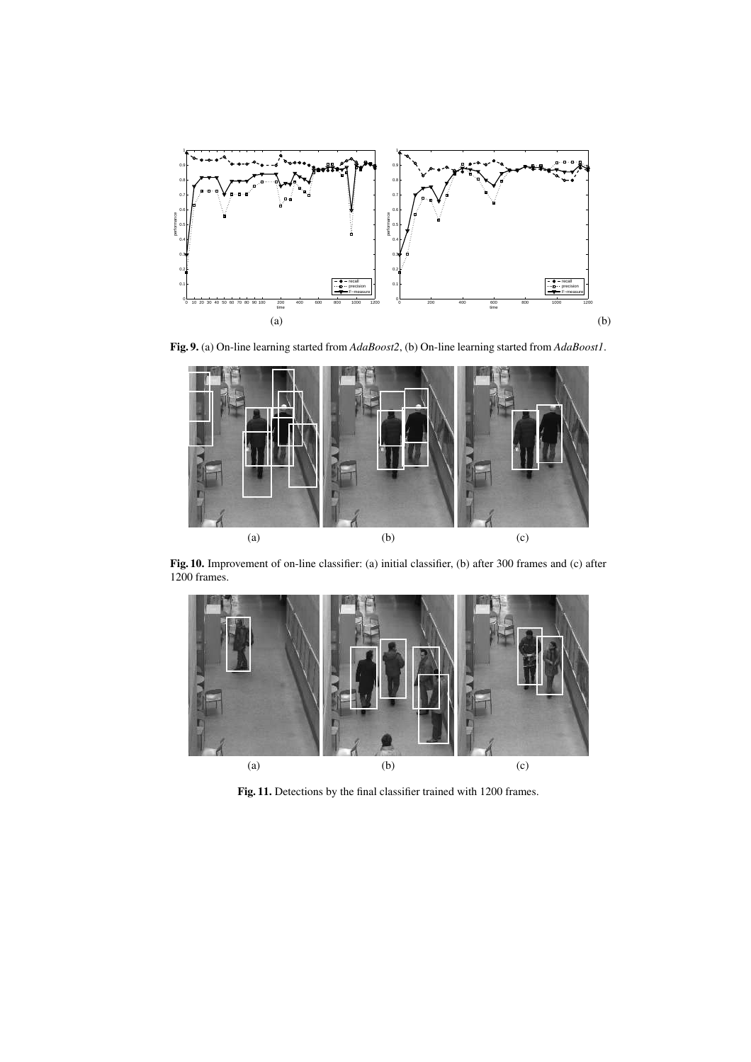

Fig. 9. (a) On-line learning started from *AdaBoost2*, (b) On-line learning started from *AdaBoost1*.



Fig. 10. Improvement of on-line classifier: (a) initial classifier, (b) after 300 frames and (c) after 1200 frames.



Fig. 11. Detections by the final classifier trained with 1200 frames.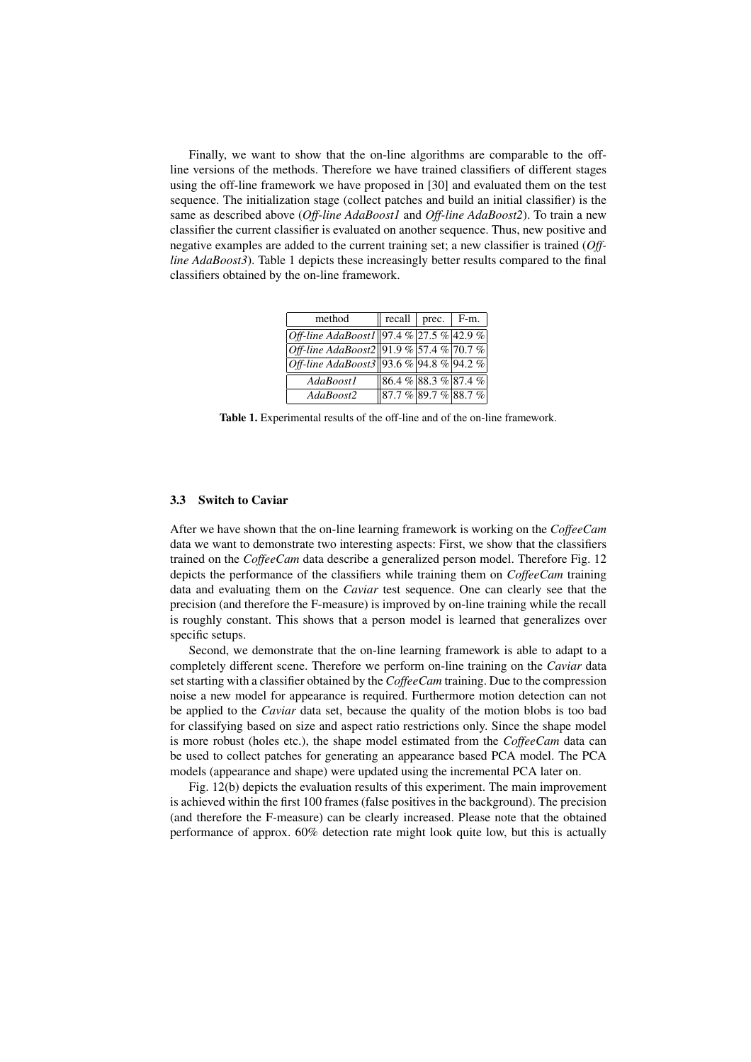Finally, we want to show that the on-line algorithms are comparable to the offline versions of the methods. Therefore we have trained classifiers of different stages using the off-line framework we have proposed in [30] and evaluated them on the test sequence. The initialization stage (collect patches and build an initial classifier) is the same as described above (*Off-line AdaBoost1* and *Off-line AdaBoost2*). To train a new classifier the current classifier is evaluated on another sequence. Thus, new positive and negative examples are added to the current training set; a new classifier is trained (*Offline AdaBoost3*). Table 1 depicts these increasingly better results compared to the final classifiers obtained by the on-line framework.

| method                                    |                        | recall $ $ prec. $ $ F-m. $ $ |  |
|-------------------------------------------|------------------------|-------------------------------|--|
| Off-line AdaBoost1   97.4 % 27.5 % 42.9 % |                        |                               |  |
| Off-line AdaBoost2 91.9 % 57.4 % 70.7 %   |                        |                               |  |
| Off-line AdaBoost3 93.6 % 94.8 % 94.2 %   |                        |                               |  |
| AdaBoost1                                 | $86.4\%$ 88.3 % 87.4 % |                               |  |
| AdaBoost2                                 | $87.7\%$ 89.7% 88.7%   |                               |  |

Table 1. Experimental results of the off-line and of the on-line framework.

#### 3.3 Switch to Caviar

After we have shown that the on-line learning framework is working on the *CoffeeCam* data we want to demonstrate two interesting aspects: First, we show that the classifiers trained on the *CoffeeCam* data describe a generalized person model. Therefore Fig. 12 depicts the performance of the classifiers while training them on *CoffeeCam* training data and evaluating them on the *Caviar* test sequence. One can clearly see that the precision (and therefore the F-measure) is improved by on-line training while the recall is roughly constant. This shows that a person model is learned that generalizes over specific setups.

Second, we demonstrate that the on-line learning framework is able to adapt to a completely different scene. Therefore we perform on-line training on the *Caviar* data set starting with a classifier obtained by the *CoffeeCam* training. Due to the compression noise a new model for appearance is required. Furthermore motion detection can not be applied to the *Caviar* data set, because the quality of the motion blobs is too bad for classifying based on size and aspect ratio restrictions only. Since the shape model is more robust (holes etc.), the shape model estimated from the *CoffeeCam* data can be used to collect patches for generating an appearance based PCA model. The PCA models (appearance and shape) were updated using the incremental PCA later on.

Fig. 12(b) depicts the evaluation results of this experiment. The main improvement is achieved within the first 100 frames (false positives in the background). The precision (and therefore the F-measure) can be clearly increased. Please note that the obtained performance of approx. 60% detection rate might look quite low, but this is actually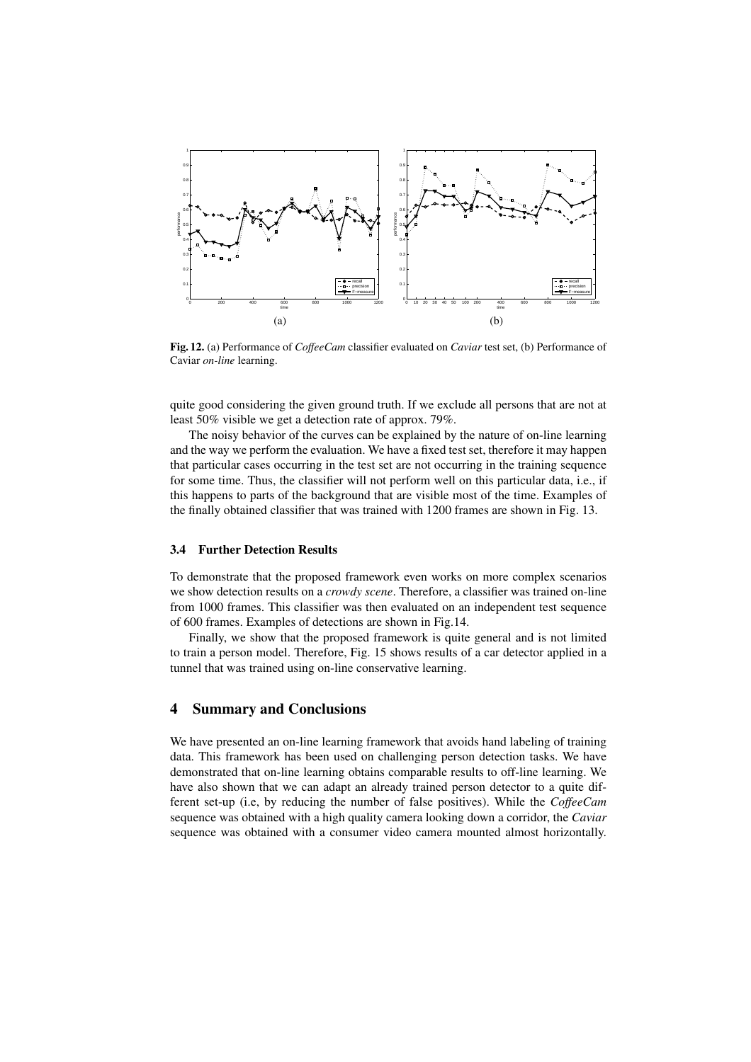

Fig. 12. (a) Performance of *CoffeeCam* classifier evaluated on *Caviar* test set, (b) Performance of Caviar *on-line* learning.

quite good considering the given ground truth. If we exclude all persons that are not at least 50% visible we get a detection rate of approx. 79%.

The noisy behavior of the curves can be explained by the nature of on-line learning and the way we perform the evaluation. We have a fixed test set, therefore it may happen that particular cases occurring in the test set are not occurring in the training sequence for some time. Thus, the classifier will not perform well on this particular data, i.e., if this happens to parts of the background that are visible most of the time. Examples of the finally obtained classifier that was trained with 1200 frames are shown in Fig. 13.

## 3.4 Further Detection Results

To demonstrate that the proposed framework even works on more complex scenarios we show detection results on a *crowdy scene*. Therefore, a classifier was trained on-line from 1000 frames. This classifier was then evaluated on an independent test sequence of 600 frames. Examples of detections are shown in Fig.14.

Finally, we show that the proposed framework is quite general and is not limited to train a person model. Therefore, Fig. 15 shows results of a car detector applied in a tunnel that was trained using on-line conservative learning.

# 4 Summary and Conclusions

We have presented an on-line learning framework that avoids hand labeling of training data. This framework has been used on challenging person detection tasks. We have demonstrated that on-line learning obtains comparable results to off-line learning. We have also shown that we can adapt an already trained person detector to a quite different set-up (i.e, by reducing the number of false positives). While the *CoffeeCam* sequence was obtained with a high quality camera looking down a corridor, the *Caviar* sequence was obtained with a consumer video camera mounted almost horizontally.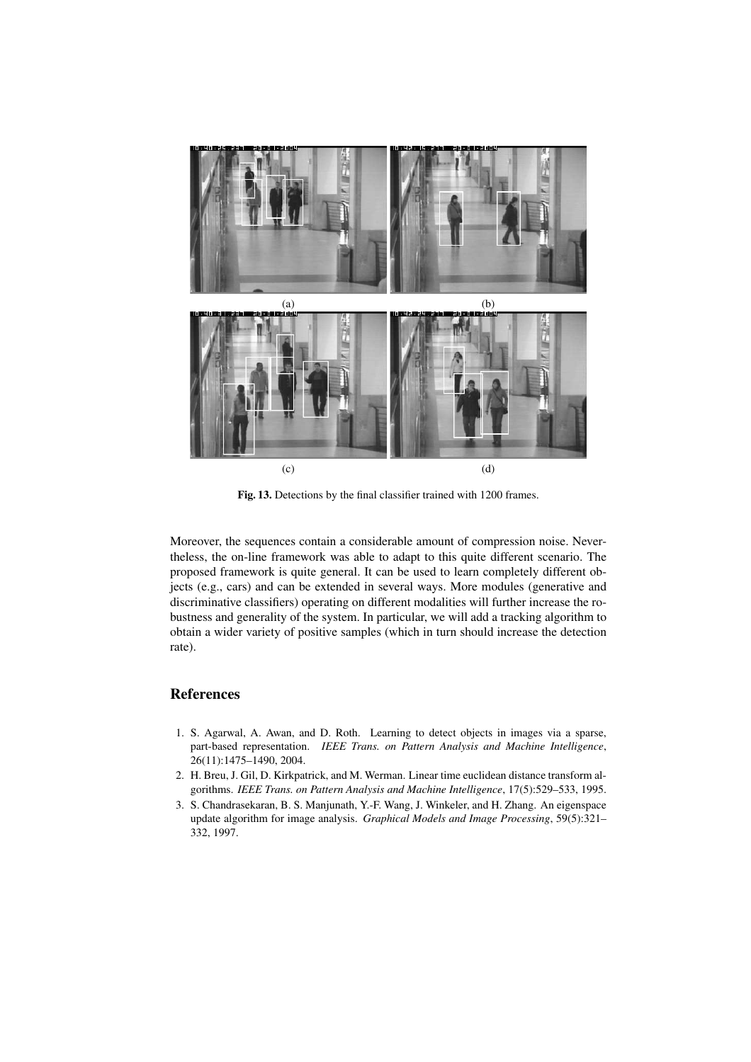

Fig. 13. Detections by the final classifier trained with 1200 frames.

Moreover, the sequences contain a considerable amount of compression noise. Nevertheless, the on-line framework was able to adapt to this quite different scenario. The proposed framework is quite general. It can be used to learn completely different objects (e.g., cars) and can be extended in several ways. More modules (generative and discriminative classifiers) operating on different modalities will further increase the robustness and generality of the system. In particular, we will add a tracking algorithm to obtain a wider variety of positive samples (which in turn should increase the detection rate).

# References

- 1. S. Agarwal, A. Awan, and D. Roth. Learning to detect objects in images via a sparse, part-based representation. *IEEE Trans. on Pattern Analysis and Machine Intelligence*, 26(11):1475–1490, 2004.
- 2. H. Breu, J. Gil, D. Kirkpatrick, and M. Werman. Linear time euclidean distance transform algorithms. *IEEE Trans. on Pattern Analysis and Machine Intelligence*, 17(5):529–533, 1995.
- 3. S. Chandrasekaran, B. S. Manjunath, Y.-F. Wang, J. Winkeler, and H. Zhang. An eigenspace update algorithm for image analysis. *Graphical Models and Image Processing*, 59(5):321– 332, 1997.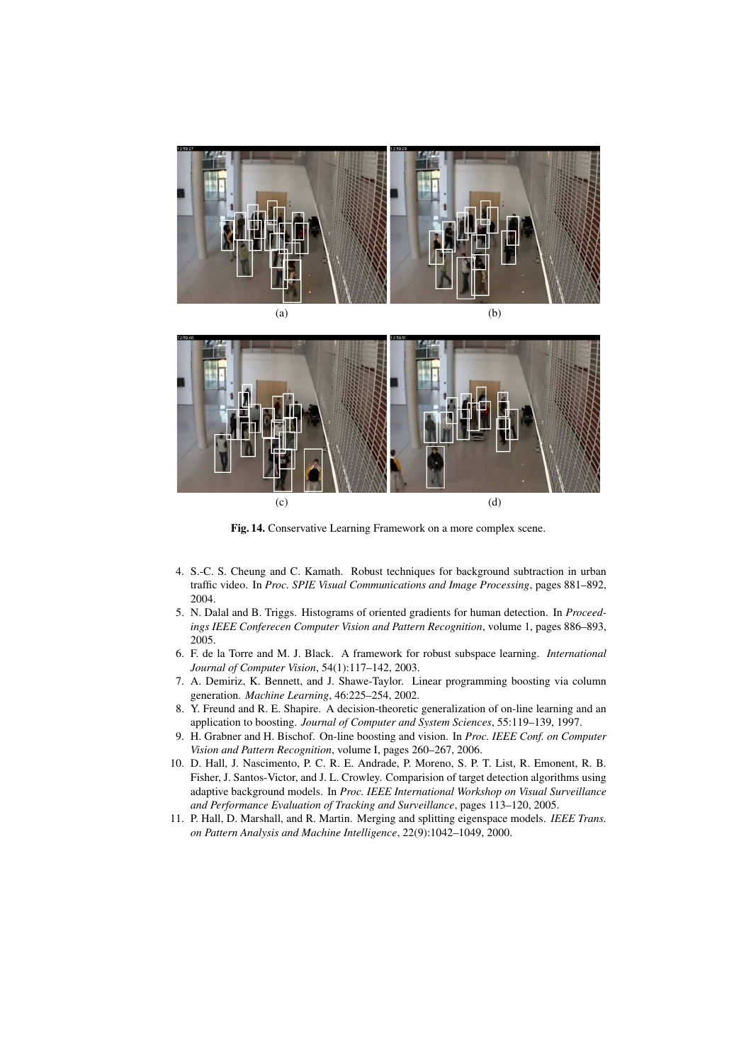

 $\qquad \qquad \textbf{(c)} \qquad \qquad \textbf{(d)}$ 

Fig. 14. Conservative Learning Framework on a more complex scene.

- 4. S.-C. S. Cheung and C. Kamath. Robust techniques for background subtraction in urban traffic video. In *Proc. SPIE Visual Communications and Image Processing*, pages 881–892, 2004.
- 5. N. Dalal and B. Triggs. Histograms of oriented gradients for human detection. In *Proceedings IEEE Conferecen Computer Vision and Pattern Recognition*, volume 1, pages 886–893, 2005.
- 6. F. de la Torre and M. J. Black. A framework for robust subspace learning. *International Journal of Computer Vision*, 54(1):117–142, 2003.
- 7. A. Demiriz, K. Bennett, and J. Shawe-Taylor. Linear programming boosting via column generation. *Machine Learning*, 46:225–254, 2002.
- 8. Y. Freund and R. E. Shapire. A decision-theoretic generalization of on-line learning and an application to boosting. *Journal of Computer and System Sciences*, 55:119–139, 1997.
- 9. H. Grabner and H. Bischof. On-line boosting and vision. In *Proc. IEEE Conf. on Computer Vision and Pattern Recognition*, volume I, pages 260–267, 2006.
- 10. D. Hall, J. Nascimento, P. C. R. E. Andrade, P. Moreno, S. P. T. List, R. Emonent, R. B. Fisher, J. Santos-Victor, and J. L. Crowley. Comparision of target detection algorithms using adaptive background models. In *Proc. IEEE International Workshop on Visual Surveillance and Performance Evaluation of Tracking and Surveillance*, pages 113–120, 2005.
- 11. P. Hall, D. Marshall, and R. Martin. Merging and splitting eigenspace models. *IEEE Trans. on Pattern Analysis and Machine Intelligence*, 22(9):1042–1049, 2000.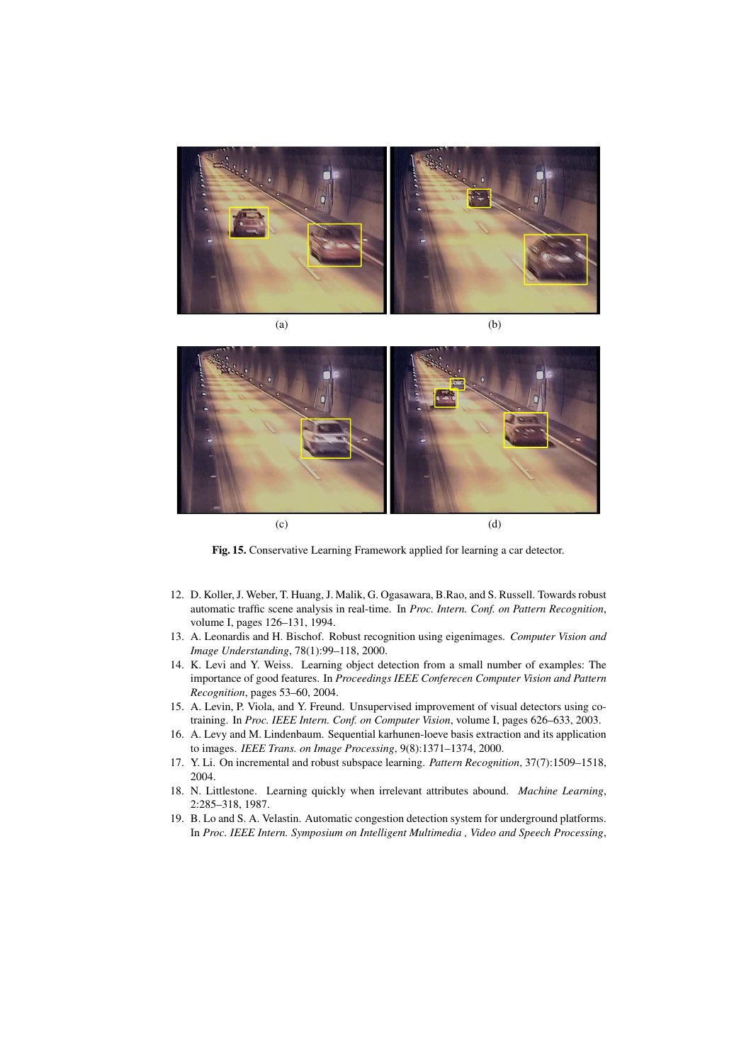



Fig. 15. Conservative Learning Framework applied for learning a car detector.

- 12. D. Koller, J. Weber, T. Huang, J. Malik, G. Ogasawara, B.Rao, and S. Russell. Towards robust automatic traffic scene analysis in real-time. In *Proc. Intern. Conf. on Pattern Recognition*, volume I, pages 126–131, 1994.
- 13. A. Leonardis and H. Bischof. Robust recognition using eigenimages. *Computer Vision and Image Understanding*, 78(1):99–118, 2000.
- 14. K. Levi and Y. Weiss. Learning object detection from a small number of examples: The importance of good features. In *Proceedings IEEE Conferecen Computer Vision and Pattern Recognition*, pages 53–60, 2004.
- 15. A. Levin, P. Viola, and Y. Freund. Unsupervised improvement of visual detectors using cotraining. In *Proc. IEEE Intern. Conf. on Computer Vision*, volume I, pages 626–633, 2003.
- 16. A. Levy and M. Lindenbaum. Sequential karhunen-loeve basis extraction and its application to images. *IEEE Trans. on Image Processing*, 9(8):1371–1374, 2000.
- 17. Y. Li. On incremental and robust subspace learning. *Pattern Recognition*, 37(7):1509–1518, 2004.
- 18. N. Littlestone. Learning quickly when irrelevant attributes abound. *Machine Learning*, 2:285–318, 1987.
- 19. B. Lo and S. A. Velastin. Automatic congestion detection system for underground platforms. In *Proc. IEEE Intern. Symposium on Intelligent Multimedia , Video and Speech Processing*,